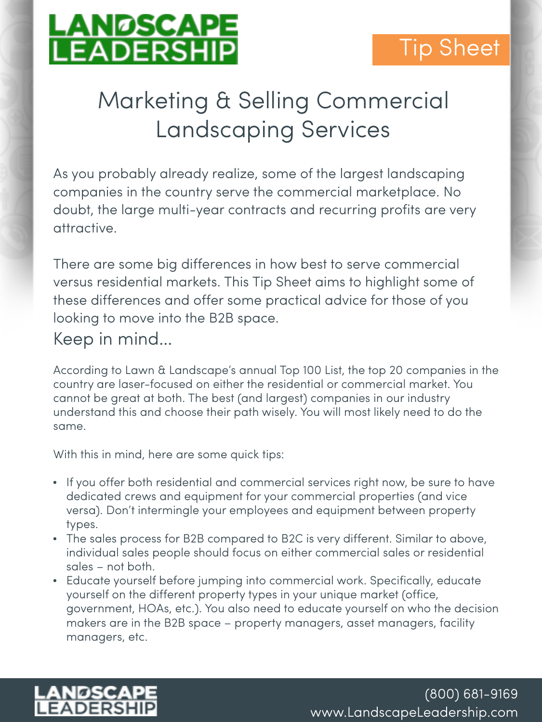

# Tip Sheet

# Marketing & Selling Commercial Landscaping Services

As you probably already realize, some of the largest landscaping companies in the country serve the commercial marketplace. No doubt, the large multi-year contracts and recurring profits are very attractive.

There are some big differences in how best to serve commercial versus residential markets. This Tip Sheet aims to highlight some of these differences and offer some practical advice for those of you looking to move into the B2B space.

### Keep in mind…

According to Lawn & Landscape's annual Top 100 List, the top 20 companies in the country are laser-focused on either the residential or commercial market. You cannot be great at both. The best (and largest) companies in our industry understand this and choose their path wisely. You will most likely need to do the same.

With this in mind, here are some quick tips:

- If you offer both residential and commercial services right now, be sure to have dedicated crews and equipment for your commercial properties (and vice versa). Don't intermingle your employees and equipment between property types.
- The sales process for B2B compared to B2C is very different. Similar to above, individual sales people should focus on either commercial sales or residential sales – not both.
- Educate yourself before jumping into commercial work. Specifically, educate yourself on the different property types in your unique market (office, government, HOAs, etc.). You also need to educate yourself on who the decision makers are in the B2B space – property managers, asset managers, facility managers, etc.

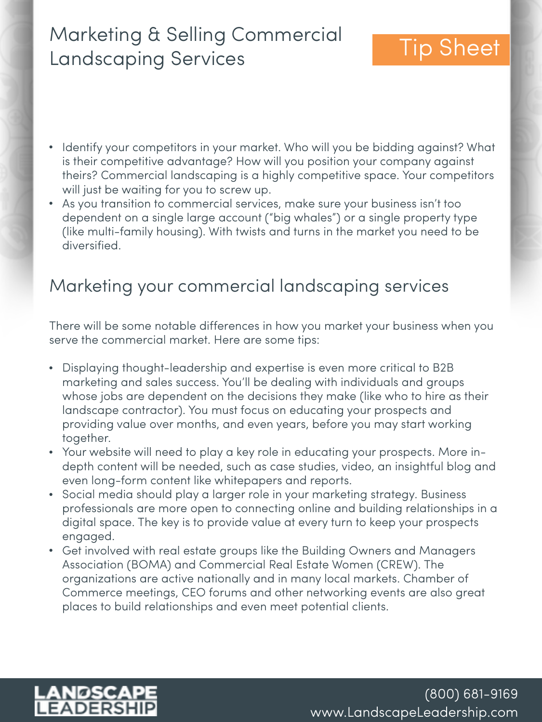# Marketing & Selling Commercial Landscaping Services Tip Sheet

- Identify your competitors in your market. Who will you be bidding against? What is their competitive advantage? How will you position your company against theirs? Commercial landscaping is a highly competitive space. Your competitors will just be waiting for you to screw up.
- As you transition to commercial services, make sure your business isn't too dependent on a single large account ("big whales") or a single property type (like multi-family housing). With twists and turns in the market you need to be diversified.

### Marketing your commercial landscaping services

There will be some notable differences in how you market your business when you serve the commercial market. Here are some tips:

- Displaying thought-leadership and expertise is even more critical to B2B marketing and sales success. You'll be dealing with individuals and groups whose jobs are dependent on the decisions they make (like who to hire as their landscape contractor). You must focus on educating your prospects and providing value over months, and even years, before you may start working together.
- Your website will need to play a key role in educating your prospects. More indepth content will be needed, such as case studies, video, an insightful blog and even long-form content like whitepapers and reports.
- Social media should play a larger role in your marketing strategy. Business professionals are more open to connecting online and building relationships in a digital space. The key is to provide value at every turn to keep your prospects engaged.
- Get involved with real estate groups like the Building Owners and Managers Association (BOMA) and Commercial Real Estate Women (CREW). The organizations are active nationally and in many local markets. Chamber of Commerce meetings, CEO forums and other networking events are also great places to build relationships and even meet potential clients.

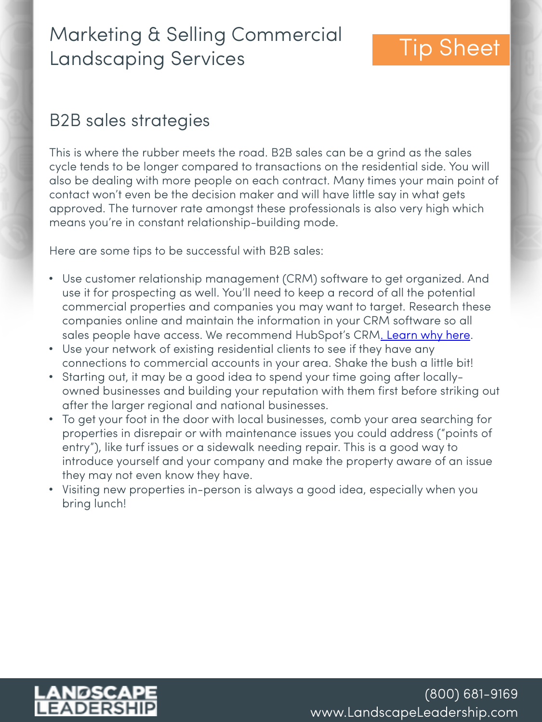# Marketing & Selling Commercial **Landscaping Services** Tip Sheet

### B2B sales strategies

This is where the rubber meets the road. B2B sales can be a grind as the sales cycle tends to be longer compared to transactions on the residential side. You will also be dealing with more people on each contract. Many times your main point of contact won't even be the decision maker and will have little say in what gets approved. The turnover rate amongst these professionals is also very high which means you're in constant relationship-building mode.

Here are some tips to be successful with B2B sales:

- Use customer relationship management (CRM) software to get organized. And use it for prospecting as well. You'll need to keep a record of all the potential commercial properties and companies you may want to target. Research these companies online and maintain the information in your CRM software so all sales people have access. We recommend HubSpot's CRM[. Learn why here.](https://www.landscapeleadership.com/blog/getting-started-crm-software-for-lawn-care-landscaping-company)
- Use your network of existing residential clients to see if they have any connections to commercial accounts in your area. Shake the bush a little bit!
- Starting out, it may be a good idea to spend your time going after locallyowned businesses and building your reputation with them first before striking out after the larger regional and national businesses.
- To get your foot in the door with local businesses, comb your area searching for properties in disrepair or with maintenance issues you could address ("points of entry"), like turf issues or a sidewalk needing repair. This is a good way to introduce yourself and your company and make the property aware of an issue they may not even know they have.
- Visiting new properties in-person is always a good idea, especially when you bring lunch!